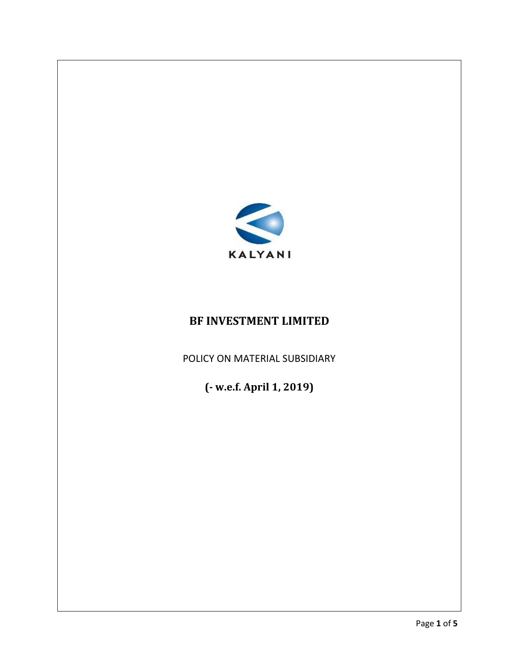

# **BF INVESTMENT LIMITED**

POLICY ON MATERIAL SUBSIDIARY

**(- w.e.f. April 1, 2019)**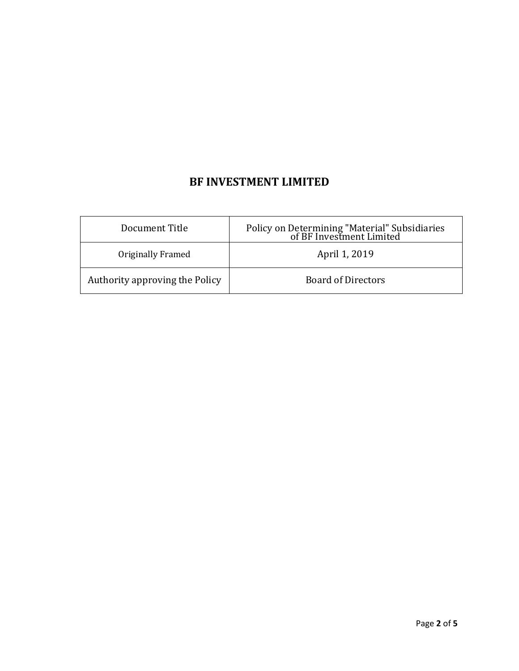## **BF INVESTMENT LIMITED**

| Document Title                 | Policy on Determining "Material" Subsidiaries<br>of BF Investment Limited |
|--------------------------------|---------------------------------------------------------------------------|
| Originally Framed              | April 1, 2019                                                             |
| Authority approving the Policy | <b>Board of Directors</b>                                                 |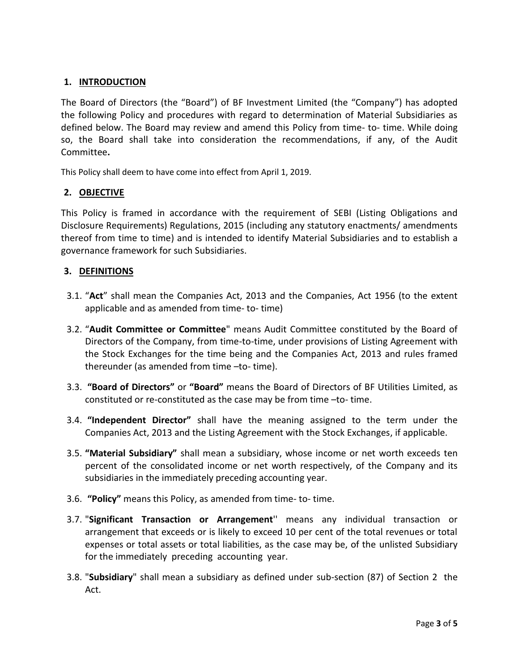## **1. INTRODUCTION**

The Board of Directors (the "Board") of BF Investment Limited (the "Company") has adopted the following Policy and procedures with regard to determination of Material Subsidiaries as defined below. The Board may review and amend this Policy from time- to- time. While doing so, the Board shall take into consideration the recommendations, if any, of the Audit Committee**.**

This Policy shall deem to have come into effect from April 1, 2019.

#### **2. OBJECTIVE**

This Policy is framed in accordance with the requirement of SEBI (Listing Obligations and Disclosure Requirements) Regulations, 2015 (including any statutory enactments/ amendments thereof from time to time) and is intended to identify Material Subsidiaries and to establish a governance framework for such Subsidiaries.

#### **3. DEFINITIONS**

- 3.1. "**Act**" shall mean the Companies Act, 2013 and the Companies, Act 1956 (to the extent applicable and as amended from time- to- time)
- 3.2. "**Audit Committee or Committee**" means Audit Committee constituted by the Board of Directors of the Company, from time-to-time, under provisions of Listing Agreement with the Stock Exchanges for the time being and the Companies Act, 2013 and rules framed thereunder (as amended from time –to- time).
- 3.3. **"Board of Directors"** or **"Board"** means the Board of Directors of BF Utilities Limited, as constituted or re-constituted as the case may be from time –to- time.
- 3.4. **"Independent Director"** shall have the meaning assigned to the term under the Companies Act, 2013 and the Listing Agreement with the Stock Exchanges, if applicable.
- 3.5. **"Material Subsidiary"** shall mean a subsidiary, whose income or net worth exceeds ten percent of the consolidated income or net worth respectively, of the Company and its subsidiaries in the immediately preceding accounting year.
- 3.6. **"Policy"** means this Policy, as amended from time- to- time.
- 3.7. "**Significant Transaction or Arrangement**'' means any individual transaction or arrangement that exceeds or is likely to exceed 10 per cent of the total revenues or total expenses or total assets or total liabilities, as the case may be, of the unlisted Subsidiary for the immediately preceding accounting year.
- 3.8. "**Subsidiary**" shall mean a subsidiary as defined under sub-section (87) of Section 2 the Act.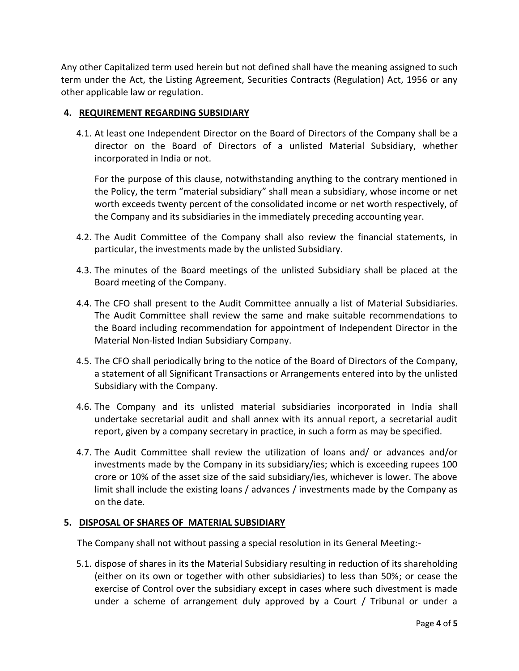Any other Capitalized term used herein but not defined shall have the meaning assigned to such term under the Act, the Listing Agreement, Securities Contracts (Regulation) Act, 1956 or any other applicable law or regulation.

#### **4. REQUIREMENT REGARDING SUBSIDIARY**

4.1. At least one Independent Director on the Board of Directors of the Company shall be a director on the Board of Directors of a unlisted Material Subsidiary, whether incorporated in India or not.

For the purpose of this clause, notwithstanding anything to the contrary mentioned in the Policy, the term "material subsidiary" shall mean a subsidiary, whose income or net worth exceeds twenty percent of the consolidated income or net worth respectively, of the Company and its subsidiaries in the immediately preceding accounting year.

- 4.2. The Audit Committee of the Company shall also review the financial statements, in particular, the investments made by the unlisted Subsidiary.
- 4.3. The minutes of the Board meetings of the unlisted Subsidiary shall be placed at the Board meeting of the Company.
- 4.4. The CFO shall present to the Audit Committee annually a list of Material Subsidiaries. The Audit Committee shall review the same and make suitable recommendations to the Board including recommendation for appointment of Independent Director in the Material Non-listed Indian Subsidiary Company.
- 4.5. The CFO shall periodically bring to the notice of the Board of Directors of the Company, a statement of all Significant Transactions or Arrangements entered into by the unlisted Subsidiary with the Company.
- 4.6. The Company and its unlisted material subsidiaries incorporated in India shall undertake secretarial audit and shall annex with its annual report, a secretarial audit report, given by a company secretary in practice, in such a form as may be specified.
- 4.7. The Audit Committee shall review the utilization of loans and/ or advances and/or investments made by the Company in its subsidiary/ies; which is exceeding rupees 100 crore or 10% of the asset size of the said subsidiary/ies, whichever is lower. The above limit shall include the existing loans / advances / investments made by the Company as on the date.

### **5. DISPOSAL OF SHARES OF MATERIAL SUBSIDIARY**

The Company shall not without passing a special resolution in its General Meeting:-

5.1. dispose of shares in its the Material Subsidiary resulting in reduction of its shareholding (either on its own or together with other subsidiaries) to less than 50%; or cease the exercise of Control over the subsidiary except in cases where such divestment is made under a scheme of arrangement duly approved by a Court / Tribunal or under a